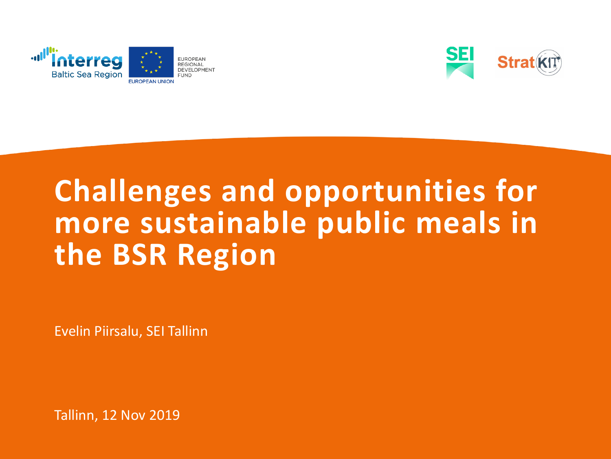



## **Challenges and opportunities for more sustainable public meals in the BSR Region**

Evelin Piirsalu, SEI Tallinn

Tallinn, 12 Nov 2019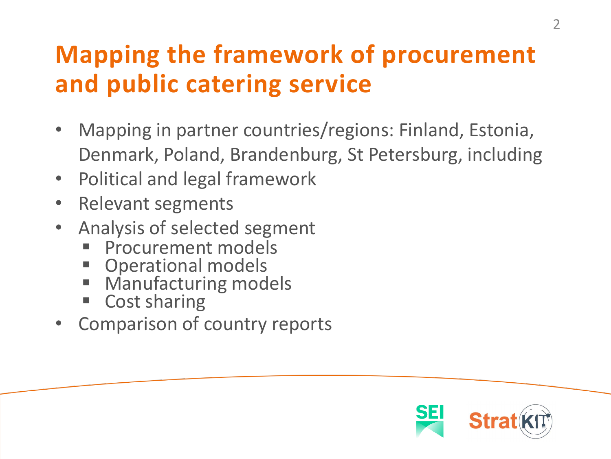#### **Mapping the framework of procurement and public catering service**

- Mapping in partner countries/regions: Finland, Estonia, Denmark, Poland, Brandenburg, St Petersburg, including
- Political and legal framework
- Relevant segments
- Analysis of selected segment
	- Procurement models
	- **Operational models**
	- **Manufacturing models**
	- Cost sharing
- Comparison of country reports

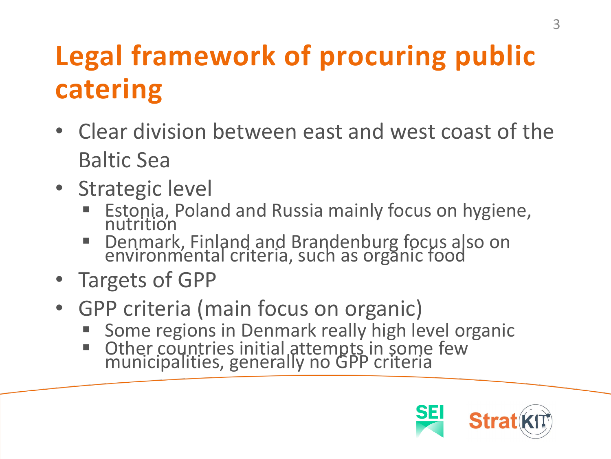# **Legal framework of procuring public catering**

- Clear division between east and west coast of the Baltic Sea
- Strategic level
	- Estonia, Poland and Russia mainly focus on hygiene, nutrition
	- Denmark, Finland and Brandenburg focus also on environmental criteria, such as organic food
- Targets of GPP
- GPP criteria (main focus on organic)
	- Some regions in Denmark really high level organic
	- Other countries initial attempts in some few<br>municipalities, generally no GPP criteria

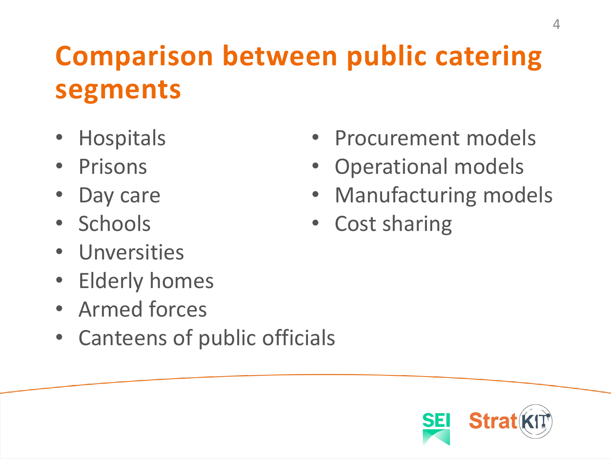## **Comparison between public catering segments**

- Hospitals
- Prisons
- Day care
- Schools
- Unversities
- Elderly homes
- Armed forces
- Canteens of public officials
- Procurement models
- Operational models
- Manufacturing models
- Cost sharing

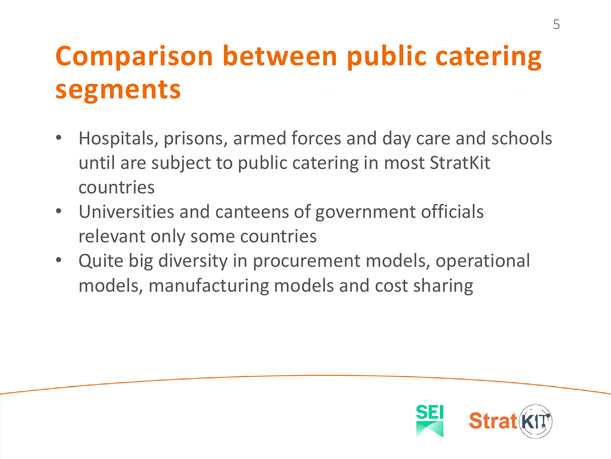## **Comparison between public catering segments**

- Hospitals, prisons, armed forces and day care and schools until are subject to public catering in most StratKit countries
- Universities and canteens of government officials relevant only some countries
- Quite big diversity in procurement models, operational models, manufacturing models and cost sharing

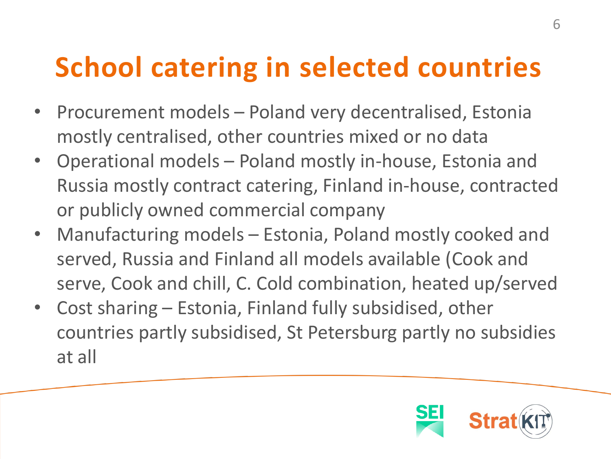## **School catering in selected countries**

- Procurement models Poland very decentralised, Estonia mostly centralised, other countries mixed or no data
- Operational models Poland mostly in-house, Estonia and Russia mostly contract catering, Finland in-house, contracted or publicly owned commercial company
- Manufacturing models Estonia, Poland mostly cooked and served, Russia and Finland all models available (Cook and serve, Cook and chill, C. Cold combination, heated up/served
- Cost sharing Estonia, Finland fully subsidised, other countries partly subsidised, St Petersburg partly no subsidies at all